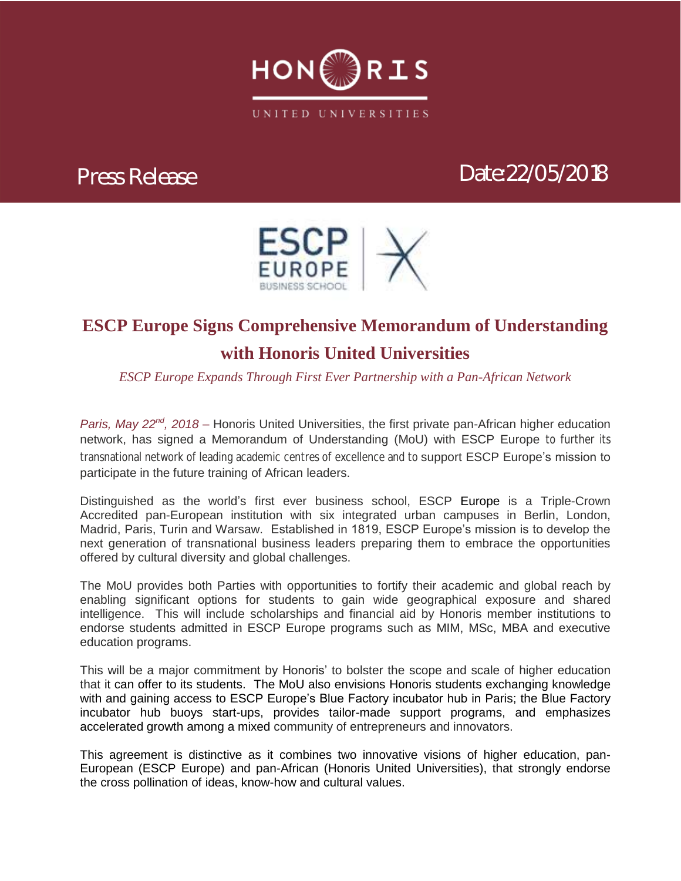

# *Press Release Date:22/05/2018*



### **ESCP Europe Signs Comprehensive Memorandum of Understanding with Honoris United Universities**

*ESCP Europe Expands Through First Ever Partnership with a Pan-African Network*

*Paris, May 22nd, 2018 –* Honoris United Universities, the first private pan-African higher education network, has signed a Memorandum of Understanding (MoU) with ESCP Europe to further its transnational network of leading academic centres of excellence and to support ESCP Europe's mission to participate in the future training of African leaders.

Distinguished as the world's first ever business school, ESCP Europe is a Triple-Crown Accredited pan-European institution with six integrated urban campuses in Berlin, London, Madrid, Paris, Turin and Warsaw. Established in 1819, ESCP Europe's mission is to develop the next generation of transnational business leaders preparing them to embrace the opportunities offered by cultural diversity and global challenges.

The MoU provides both Parties with opportunities to fortify their academic and global reach by enabling significant options for students to gain wide geographical exposure and shared intelligence. This will include scholarships and financial aid by Honoris member institutions to endorse students admitted in ESCP Europe programs such as MIM, MSc, MBA and executive education programs.

This will be a major commitment by Honoris' to bolster the scope and scale of higher education that it can offer to its students. The MoU also envisions Honoris students exchanging knowledge with and gaining access to ESCP Europe's Blue Factory incubator hub in Paris; the Blue Factory incubator hub buoys start-ups, provides tailor-made support programs, and emphasizes accelerated growth among a mixed community of entrepreneurs and innovators.

This agreement is distinctive as it combines two innovative visions of higher education, pan-European (ESCP Europe) and pan-African (Honoris United Universities), that strongly endorse the cross pollination of ideas, know-how and cultural values.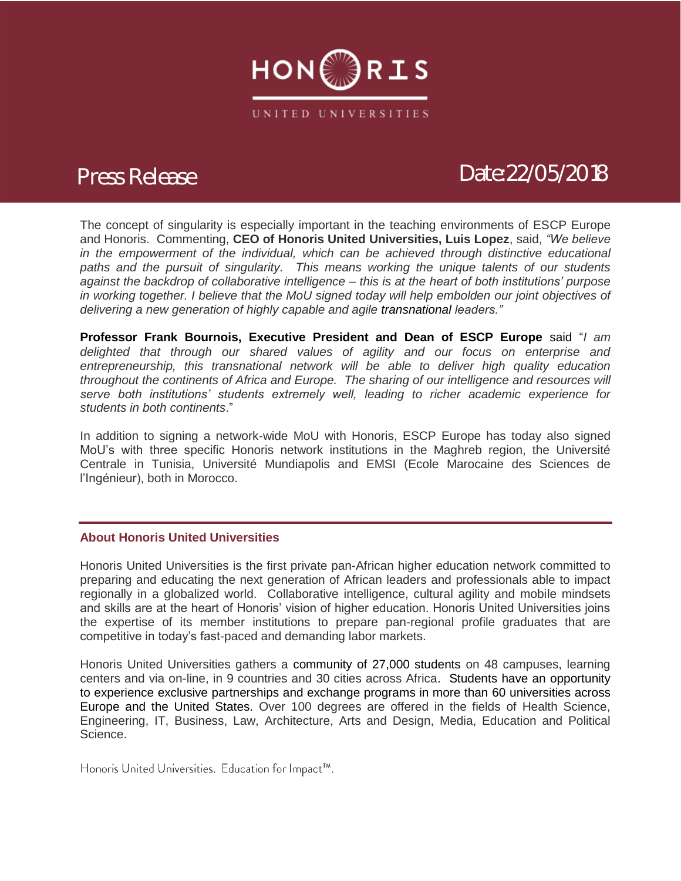

## *Press Release Date:22/05/2018*

The concept of singularity is especially important in the teaching environments of ESCP Europe and Honoris. Commenting, **CEO of Honoris United Universities, Luis Lopez**, said, *"We believe*  in the empowerment of the individual, which can be achieved through distinctive educational *paths and the pursuit of singularity. This means working the unique talents of our students against the backdrop of collaborative intelligence – this is at the heart of both institutions' purpose in working together. I believe that the MoU signed today will help embolden our joint objectives of delivering a new generation of highly capable and agile transnational leaders."* 

**Professor Frank Bournois, Executive President and Dean of ESCP Europe** said "*I am delighted that through our shared values of agility and our focus on enterprise and entrepreneurship, this transnational network will be able to deliver high quality education throughout the continents of Africa and Europe. The sharing of our intelligence and resources will serve both institutions' students extremely well, leading to richer academic experience for students in both continents*."

In addition to signing a network-wide MoU with Honoris, ESCP Europe has today also signed MoU's with three specific Honoris network institutions in the Maghreb region, the Université Centrale in Tunisia, Université Mundiapolis and EMSI (Ecole Marocaine des Sciences de l'Ingénieur), both in Morocco.

### **About Honoris United Universities**

Honoris United Universities is the first private pan-African higher education network committed to preparing and educating the next generation of African leaders and professionals able to impact regionally in a globalized world. Collaborative intelligence, cultural agility and mobile mindsets and skills are at the heart of Honoris' vision of higher education. Honoris United Universities joins the expertise of its member institutions to prepare pan-regional profile graduates that are competitive in today's fast-paced and demanding labor markets.

Honoris United Universities gathers a community of 27,000 students on 48 campuses, learning centers and via on-line, in 9 countries and 30 cities across Africa. Students have an opportunity to experience exclusive partnerships and exchange programs in more than 60 universities across Europe and the United States. Over 100 degrees are offered in the fields of Health Science, Engineering, IT, Business, Law, Architecture, Arts and Design, Media, Education and Political Science.

Honoris United Universities. Education for Impact™.